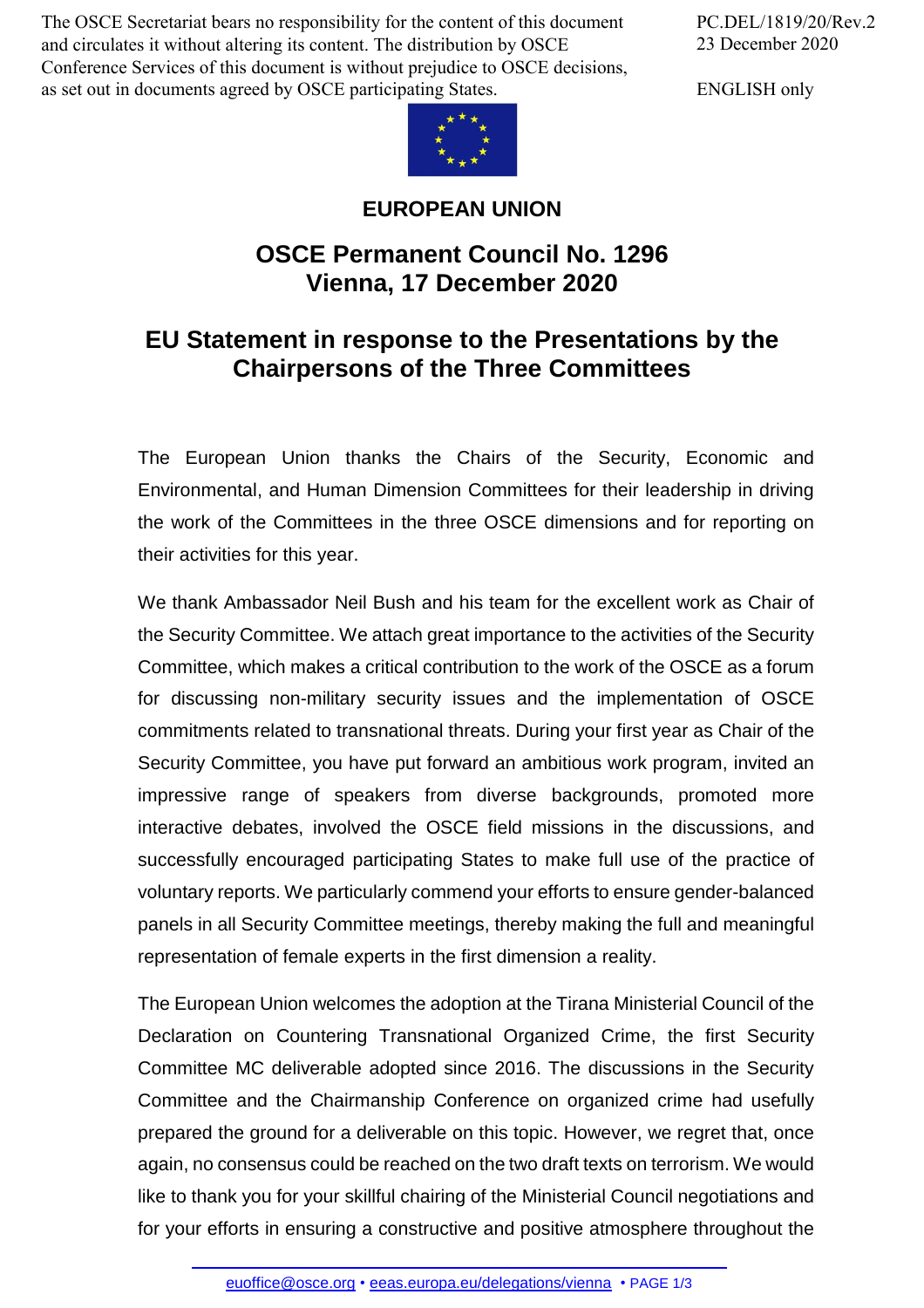The OSCE Secretariat bears no responsibility for the content of this document and circulates it without altering its content. The distribution by OSCE Conference Services of this document is without prejudice to OSCE decisions, as set out in documents agreed by OSCE participating States.

PC.DEL/1819/20/Rev.2 23 December 2020

ENGLISH only



## **EUROPEAN UNION**

## **OSCE Permanent Council No. 1296 Vienna, 17 December 2020**

## **EU Statement in response to the Presentations by the Chairpersons of the Three Committees**

The European Union thanks the Chairs of the Security, Economic and Environmental, and Human Dimension Committees for their leadership in driving the work of the Committees in the three OSCE dimensions and for reporting on their activities for this year.

We thank Ambassador Neil Bush and his team for the excellent work as Chair of the Security Committee. We attach great importance to the activities of the Security Committee, which makes a critical contribution to the work of the OSCE as a forum for discussing non-military security issues and the implementation of OSCE commitments related to transnational threats. During your first year as Chair of the Security Committee, you have put forward an ambitious work program, invited an impressive range of speakers from diverse backgrounds, promoted more interactive debates, involved the OSCE field missions in the discussions, and successfully encouraged participating States to make full use of the practice of voluntary reports. We particularly commend your efforts to ensure gender-balanced panels in all Security Committee meetings, thereby making the full and meaningful representation of female experts in the first dimension a reality.

The European Union welcomes the adoption at the Tirana Ministerial Council of the Declaration on Countering Transnational Organized Crime, the first Security Committee MC deliverable adopted since 2016. The discussions in the Security Committee and the Chairmanship Conference on organized crime had usefully prepared the ground for a deliverable on this topic. However, we regret that, once again, no consensus could be reached on the two draft texts on terrorism. We would like to thank you for your skillful chairing of the Ministerial Council negotiations and for your efforts in [ensuring](mailto:euoffice@osce.org) a [constructive](http://eeas.europa.eu/delegations/vienna) and positive atmosphere throughout the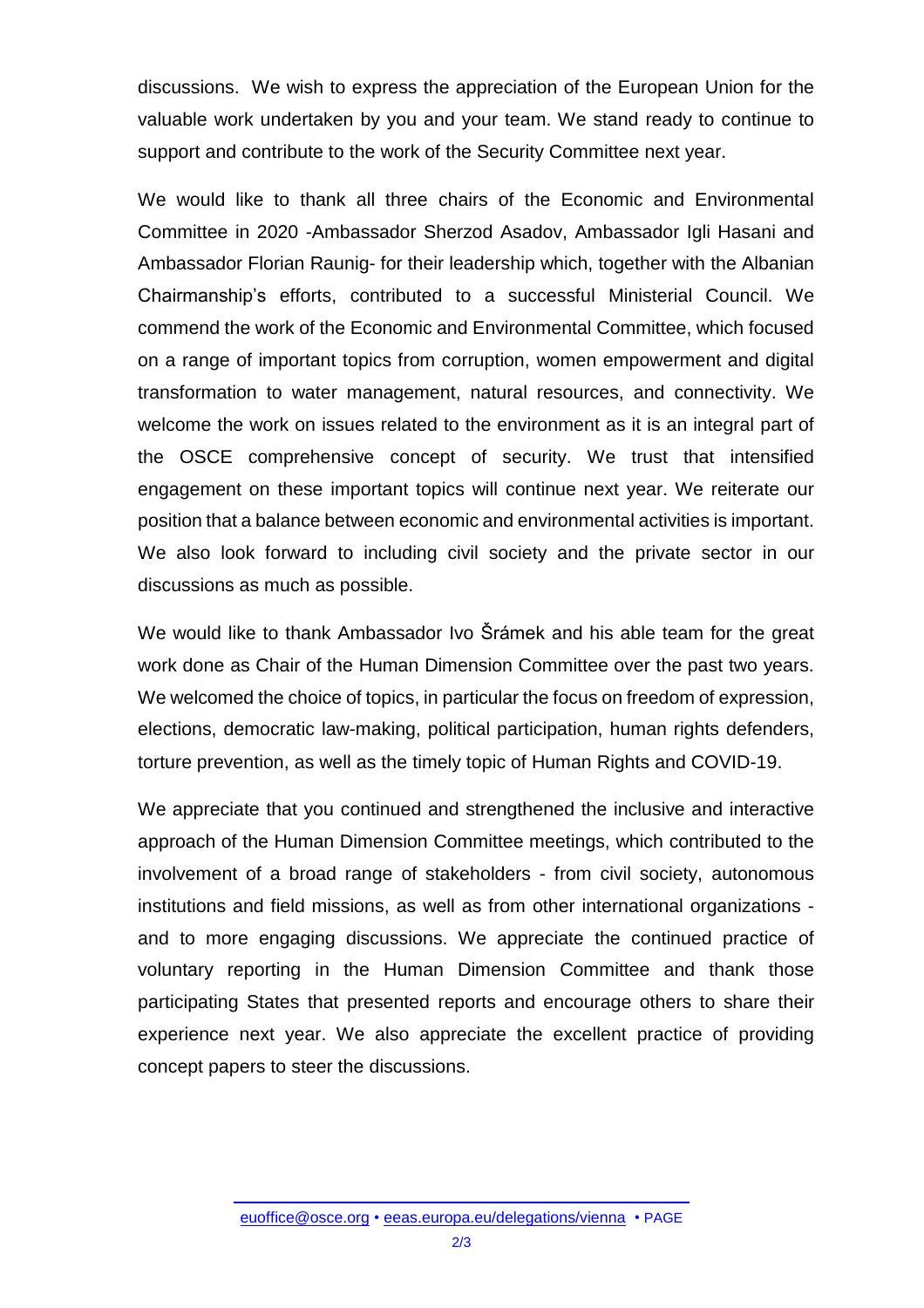discussions. We wish to express the appreciation of the European Union for the valuable work undertaken by you and your team. We stand ready to continue to support and contribute to the work of the Security Committee next year.

We would like to thank all three chairs of the Economic and Environmental Committee in 2020 -Ambassador Sherzod Asadov, Ambassador Igli Hasani and Ambassador Florian Raunig- for their leadership which, together with the Albanian Chairmanship's efforts, contributed to a successful Ministerial Council. We commend the work of the Economic and Environmental Committee, which focused on a range of important topics from corruption, women empowerment and digital transformation to water management, natural resources, and connectivity. We welcome the work on issues related to the environment as it is an integral part of the OSCE comprehensive concept of security. We trust that intensified engagement on these important topics will continue next year. We reiterate our position that a balance between economic and environmental activities is important. We also look forward to including civil society and the private sector in our discussions as much as possible.

We would like to thank Ambassador Ivo Šrámek and his able team for the great work done as Chair of the Human Dimension Committee over the past two years. We welcomed the choice of topics, in particular the focus on freedom of expression, elections, democratic law-making, political participation, human rights defenders, torture prevention, as well as the timely topic of Human Rights and COVID-19.

We appreciate that you continued and strengthened the inclusive and interactive approach of the Human Dimension Committee meetings, which contributed to the involvement of a broad range of stakeholders - from civil society, autonomous institutions and field missions, as well as from other international organizations and to more engaging discussions. We appreciate the continued practice of voluntary reporting in the Human Dimension Committee and thank those participating States that presented reports and encourage others to share their experience next year. We also appreciate the excellent practice of providing concept papers to steer the discussions.